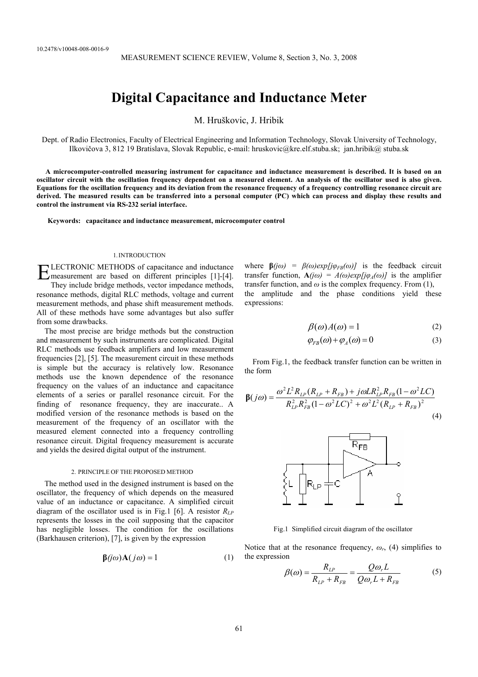# **Digital Capacitance and Inductance Meter**

M. Hruškovic, J. Hribik

Dept. of Radio Electronics, Faculty of Electrical Engineering and Information Technology, Slovak University of Technology, Ilkovičova 3, 812 19 Bratislava, Slovak Republic, e-mail: hruskovic@kre.elf.stuba.sk; jan.hribik@ stuba.sk

 **A microcomputer-controlled measuring instrument for capacitance and inductance measurement is described. It is based on an oscillator circuit with the oscillation frequency dependent on a measured element. An analysis of the oscillator used is also given. Equations for the oscillation frequency and its deviation from the resonance frequency of a frequency controlling resonance circuit are derived. The measured results can be transferred into a personal computer (PC) which can process and display these results and control the instrument via RS-232 serial interface.** 

**Keywords: capacitance and inductance measurement, microcomputer control** 

# 1.INTRODUCTION

ELECTRONIC METHODS of capacitance and inductance<br>
Final measurement are based on different principles [1]-[4]. measurement are based on different principles [1]-[4].

They include bridge methods, vector impedance methods, resonance methods, digital RLC methods, voltage and current measurement methods, and phase shift measurement methods. All of these methods have some advantages but also suffer from some drawbacks.

The most precise are bridge methods but the construction and measurement by such instruments are complicated. Digital RLC methods use feedback amplifiers and low measurement frequencies [2], [5]. The measurement circuit in these methods is simple but the accuracy is relatively low. Resonance methods use the known dependence of the resonance frequency on the values of an inductance and capacitance elements of a series or parallel resonance circuit. For the finding of resonance frequency, they are inaccurate.. A modified version of the resonance methods is based on the measurement of the frequency of an oscillator with the measured element connected into a frequency controlling resonance circuit. Digital frequency measurement is accurate and yields the desired digital output of the instrument.

## 2. PRINCIPLE OF THE PROPOSED METHOD

The method used in the designed instrument is based on the oscillator, the frequency of which depends on the measured value of an inductance or capacitance. A simplified circuit diagram of the oscillator used is in Fig.1 [6]. A resistor *RLP* represents the losses in the coil supposing that the capacitor has negligible losses. The condition for the oscillations (Barkhausen criterion), [7], is given by the expression

$$
\beta(j\omega)A(j\omega) = 1 \tag{1}
$$

where  $\beta(i\omega) = \beta(\omega)exp[j\varphi_{FB}(\omega)]$  is the feedback circuit transfer function,  $A(j\omega) = A(\omega)exp[j\varphi_A(\omega)]$  is the amplifier transfer function, and  $\omega$  is the complex frequency. From (1), the amplitude and the phase conditions yield these expressions:

$$
\beta(\omega)A(\omega) = 1 \tag{2}
$$

$$
\varphi_{FB}(\omega) + \varphi_A(\omega) = 0 \tag{3}
$$

From Fig.1, the feedback transfer function can be written in the form

$$
\beta(j\omega) = \frac{\omega^2 L^2 R_{LP}(R_{LP} + R_{FB}) + j\omega L R_{LP}^2 R_{FB} (1 - \omega^2 L C)}{R_{LP}^2 R_{FB}^2 (1 - \omega^2 L C)^2 + \omega^2 L^2 (R_{LP} + R_{FB})^2}
$$
\n(4)



Fig.1 Simplified circuit diagram of the oscillator

Notice that at the resonance frequency, *ωr*, (4) simplifies to the expression

$$
\beta(\omega) = \frac{R_{LP}}{R_{LP} + R_{FB}} = \frac{Q\omega_r L}{Q\omega_r L + R_{FB}}
$$
(5)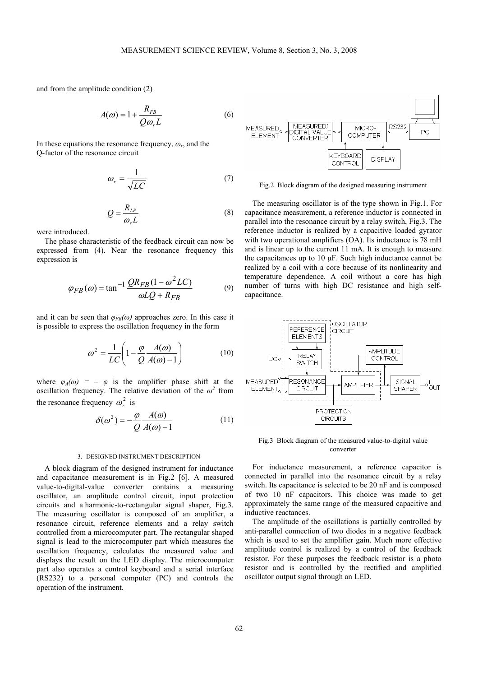and from the amplitude condition (2)

$$
A(\omega) = 1 + \frac{R_{FB}}{Q\omega_r L}
$$
 (6)

In these equations the resonance frequency,  $\omega_r$ , and the Q-factor of the resonance circuit

$$
\omega_r = \frac{1}{\sqrt{LC}}\tag{7}
$$

$$
Q = \frac{R_{LP}}{\omega_r L} \tag{8}
$$

were introduced.

The phase characteristic of the feedback circuit can now be expressed from (4). Near the resonance frequency this expression is

$$
\varphi_{FB}(\omega) = \tan^{-1} \frac{QR_{FB}(1 - \omega^2 LC)}{\omega LQ + R_{FB}} \tag{9}
$$

and it can be seen that  $\varphi_{FB}(\omega)$  approaches zero. In this case it is possible to express the oscillation frequency in the form

$$
\omega^2 = \frac{1}{LC} \left( 1 - \frac{\varphi}{Q} \frac{A(\omega)}{A(\omega) - 1} \right) \tag{10}
$$

where  $\varphi_A(\omega) = -\varphi$  is the amplifier phase shift at the oscillation frequency. The relative deviation of the  $\omega^2$  from the resonance frequency  $\omega^2$  is

$$
\delta(\omega^2) = -\frac{\varphi}{Q} \frac{A(\omega)}{A(\omega) - 1} \tag{11}
$$

#### 3. DESIGNED INSTRUMENT DESCRIPTION

A block diagram of the designed instrument for inductance and capacitance measurement is in Fig.2 [6]. A measured value-to-digital-value converter contains a measuring oscillator, an amplitude control circuit, input protection circuits and a harmonic-to-rectangular signal shaper, Fig.3. The measuring oscillator is composed of an amplifier, a resonance circuit, reference elements and a relay switch controlled from a microcomputer part. The rectangular shaped signal is lead to the microcomputer part which measures the oscillation frequency, calculates the measured value and displays the result on the LED display. The microcomputer part also operates a control keyboard and a serial interface (RS232) to a personal computer (PC) and controls the operation of the instrument.



Fig.2 Block diagram of the designed measuring instrument

The measuring oscillator is of the type shown in Fig.1. For capacitance measurement, a reference inductor is connected in parallel into the resonance circuit by a relay switch, Fig.3. The reference inductor is realized by a capacitive loaded gyrator with two operational amplifiers (OA). Its inductance is 78 mH and is linear up to the current 11 mA. It is enough to measure the capacitances up to  $10 \mu$ F. Such high inductance cannot be realized by a coil with a core because of its nonlinearity and temperature dependence. A coil without a core has high number of turns with high DC resistance and high selfcapacitance.



Fig.3 Block diagram of the measured value-to-digital value converter

For inductance measurement, a reference capacitor is connected in parallel into the resonance circuit by a relay switch. Its capacitance is selected to be 20 nF and is composed of two 10 nF capacitors. This choice was made to get approximately the same range of the measured capacitive and inductive reactances.

The amplitude of the oscillations is partially controlled by anti-parallel connection of two diodes in a negative feedback which is used to set the amplifier gain. Much more effective amplitude control is realized by a control of the feedback resistor. For these purposes the feedback resistor is a photo resistor and is controlled by the rectified and amplified oscillator output signal through an LED.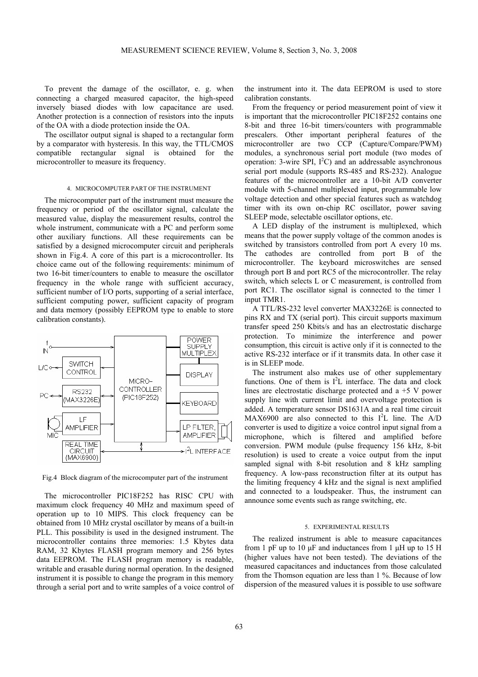To prevent the damage of the oscillator, e. g. when connecting a charged measured capacitor, the high-speed inversely biased diodes with low capacitance are used. Another protection is a connection of resistors into the inputs of the OA with a diode protection inside the OA.

The oscillator output signal is shaped to a rectangular form by a comparator with hysteresis. In this way, the TTL/CMOS compatible rectangular signal is obtained for the microcontroller to measure its frequency.

## 4. MICROCOMPUTER PART OF THE INSTRUMENT

The microcomputer part of the instrument must measure the frequency or period of the oscillator signal, calculate the measured value, display the measurement results, control the whole instrument, communicate with a PC and perform some other auxiliary functions. All these requirements can be satisfied by a designed microcomputer circuit and peripherals shown in Fig.4. A core of this part is a microcontroller. Its choice came out of the following requirements: minimum of two 16-bit timer/counters to enable to measure the oscillator frequency in the whole range with sufficient accuracy, sufficient number of I/O ports, supporting of a serial interface, sufficient computing power, sufficient capacity of program and data memory (possibly EEPROM type to enable to store calibration constants).



Fig.4 Block diagram of the microcomputer part of the instrument

The microcontroller PIC18F252 has RISC CPU with maximum clock frequency 40 MHz and maximum speed of operation up to 10 MIPS. This clock frequency can be obtained from 10 MHz crystal oscillator by means of a built-in PLL. This possibility is used in the designed instrument. The microcontroller contains three memories: 1.5 Kbytes data RAM, 32 Kbytes FLASH program memory and 256 bytes data EEPROM. The FLASH program memory is readable, writable and erasable during normal operation. In the designed instrument it is possible to change the program in this memory through a serial port and to write samples of a voice control of

the instrument into it. The data EEPROM is used to store calibration constants.

From the frequency or period measurement point of view it is important that the microcontroller PIC18F252 contains one 8-bit and three 16-bit timers/counters with programmable prescalers. Other important peripheral features of the microcontroller are two CCP (Capture/Compare/PWM) modules, a synchronous serial port module (two modes of operation: 3-wire SPI,  $I^2C$ ) and an addressable asynchronous serial port module (supports RS-485 and RS-232). Analogue features of the microcontroller are a 10-bit A/D converter module with 5-channel multiplexed input, programmable low voltage detection and other special features such as watchdog timer with its own on-chip RC oscillator, power saving SLEEP mode, selectable oscillator options, etc.

A LED display of the instrument is multiplexed, which means that the power supply voltage of the common anodes is switched by transistors controlled from port A every 10 ms. The cathodes are controlled from port B of the microcontroller. The keyboard microswitches are sensed through port B and port RC5 of the microcontroller. The relay switch, which selects L or C measurement, is controlled from port RC1. The oscillator signal is connected to the timer 1 input TMR1.

A TTL/RS-232 level converter MAX3226E is connected to pins RX and TX (serial port). This circuit supports maximum transfer speed 250 Kbits/s and has an electrostatic discharge protection. To minimize the interference and power consumption, this circuit is active only if it is connected to the active RS-232 interface or if it transmits data. In other case it is in SLEEP mode.

The instrument also makes use of other supplementary functions. One of them is  $I<sup>2</sup>L$  interface. The data and clock lines are electrostatic discharge protected and a +5 V power supply line with current limit and overvoltage protection is added. A temperature sensor DS1631A and a real time circuit MAX6900 are also connected to this  $I<sup>2</sup>L$  line. The A/D converter is used to digitize a voice control input signal from a microphone, which is filtered and amplified before conversion. PWM module (pulse frequency 156 kHz, 8-bit resolution) is used to create a voice output from the input sampled signal with 8-bit resolution and 8 kHz sampling frequency. A low-pass reconstruction filter at its output has the limiting frequency 4 kHz and the signal is next amplified and connected to a loudspeaker. Thus, the instrument can announce some events such as range switching, etc.

#### 5. EXPERIMENTAL RESULTS

The realized instrument is able to measure capacitances from 1 pF up to 10  $\mu$ F and inductances from 1  $\mu$ H up to 15 H (higher values have not been tested). The deviations of the measured capacitances and inductances from those calculated from the Thomson equation are less than 1 %. Because of low dispersion of the measured values it is possible to use software